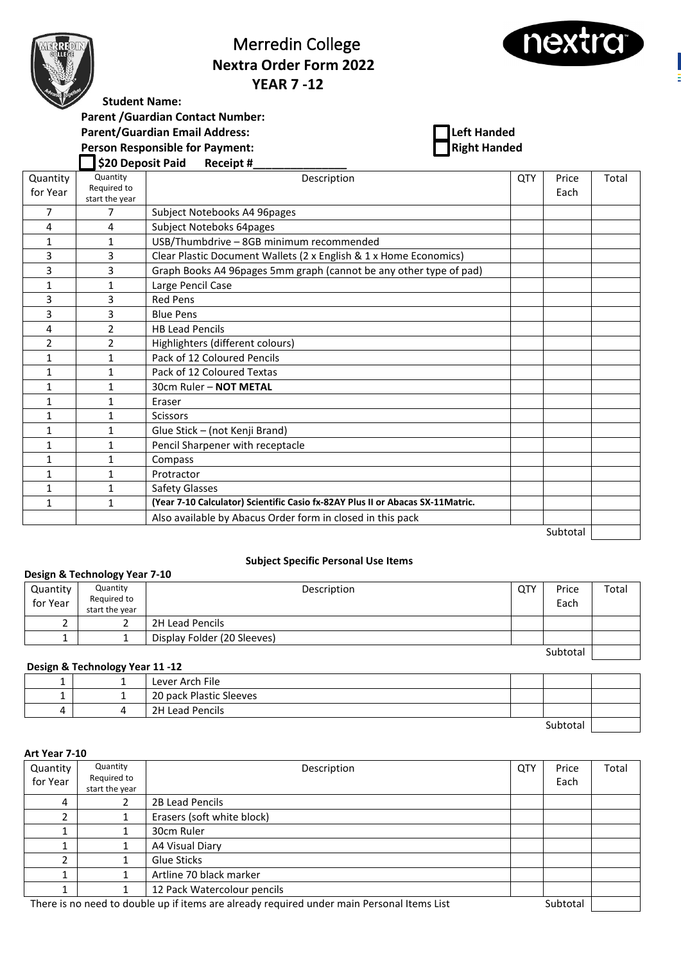

# Merredin College  **Nextra Order Form 2022 YEAR 7 -12**



**Student Name:** 

**Parent /Guardian Contact Number:**

**Parent/Guardian Email Address:**<br> **Parent/Guardian Email Address: Left Handed**<br> **Left Handed Right Handed** 

**Person Responsible for Payment:** 

 **\$20 Deposit Paid Receipt #\_\_\_\_\_\_\_\_\_\_\_\_\_\_\_**

| Quantity     | Quantity<br>Required to | Description                                                                    | <b>QTY</b> | Price    | Total |
|--------------|-------------------------|--------------------------------------------------------------------------------|------------|----------|-------|
| for Year     | start the year          |                                                                                |            | Each     |       |
| 7            | 7                       | Subject Notebooks A4 96pages                                                   |            |          |       |
| 4            | 4                       | Subject Noteboks 64pages                                                       |            |          |       |
| 1            | 1                       | USB/Thumbdrive - 8GB minimum recommended                                       |            |          |       |
| 3            | 3                       | Clear Plastic Document Wallets (2 x English & 1 x Home Economics)              |            |          |       |
| 3            | 3                       | Graph Books A4 96pages 5mm graph (cannot be any other type of pad)             |            |          |       |
| 1            | $\mathbf{1}$            | Large Pencil Case                                                              |            |          |       |
| 3            | 3                       | <b>Red Pens</b>                                                                |            |          |       |
| 3            | 3                       | <b>Blue Pens</b>                                                               |            |          |       |
| 4            | $\overline{2}$          | <b>HB Lead Pencils</b>                                                         |            |          |       |
| 2            | $\overline{2}$          | Highlighters (different colours)                                               |            |          |       |
| 1            | 1                       | Pack of 12 Coloured Pencils                                                    |            |          |       |
| $\mathbf{1}$ | $\mathbf{1}$            | Pack of 12 Coloured Textas                                                     |            |          |       |
| $\mathbf{1}$ | $\mathbf{1}$            | 30cm Ruler - NOT METAL                                                         |            |          |       |
| $\mathbf{1}$ | $\mathbf{1}$            | Eraser                                                                         |            |          |       |
| $\mathbf{1}$ | $\mathbf{1}$            | <b>Scissors</b>                                                                |            |          |       |
| $\mathbf{1}$ | $\mathbf{1}$            | Glue Stick - (not Kenji Brand)                                                 |            |          |       |
| 1            | 1                       | Pencil Sharpener with receptacle                                               |            |          |       |
| $\mathbf{1}$ | $\mathbf{1}$            | Compass                                                                        |            |          |       |
| $\mathbf{1}$ | $\mathbf{1}$            | Protractor                                                                     |            |          |       |
| $\mathbf{1}$ | $\mathbf{1}$            | Safety Glasses                                                                 |            |          |       |
| $\mathbf{1}$ | $\mathbf{1}$            | (Year 7-10 Calculator) Scientific Casio fx-82AY Plus II or Abacas SX-11Matric. |            |          |       |
|              |                         | Also available by Abacus Order form in closed in this pack                     |            |          |       |
|              |                         |                                                                                |            | Subtotal |       |

### **Subject Specific Personal Use Items**

| Design & Technology Year 7-10 |                                           |                             |     |               |       |  |
|-------------------------------|-------------------------------------------|-----------------------------|-----|---------------|-------|--|
| Quantity<br>for Year          | Quantity<br>Required to<br>start the year | Description                 | QTY | Price<br>Each | Total |  |
|                               | ے                                         | 2H Lead Pencils             |     |               |       |  |
|                               |                                           | Display Folder (20 Sleeves) |     |               |       |  |
|                               |                                           |                             |     | Subtotal      |       |  |

## **Design & Technology Year 11 -12**

| - | Lever Arch File         |         |  |
|---|-------------------------|---------|--|
|   | 20 pack Plastic Sleeves |         |  |
| ↵ | 2H Lead Pencils         |         |  |
|   |                         | $nh+nh$ |  |

#### **Art Year 7-10**

| Quantity<br>for Year | Quantity<br>Required to<br>start the year                                                              | Description                 | <b>QTY</b> | Price<br>Each | Total |
|----------------------|--------------------------------------------------------------------------------------------------------|-----------------------------|------------|---------------|-------|
| 4                    |                                                                                                        | 2B Lead Pencils             |            |               |       |
| ำ                    |                                                                                                        | Erasers (soft white block)  |            |               |       |
|                      |                                                                                                        | 30cm Ruler                  |            |               |       |
|                      |                                                                                                        | A4 Visual Diary             |            |               |       |
|                      |                                                                                                        | Glue Sticks                 |            |               |       |
|                      |                                                                                                        | Artline 70 black marker     |            |               |       |
|                      |                                                                                                        | 12 Pack Watercolour pencils |            |               |       |
|                      | There is no need to double up if items are already required under main Personal Items List<br>Subtotal |                             |            |               |       |